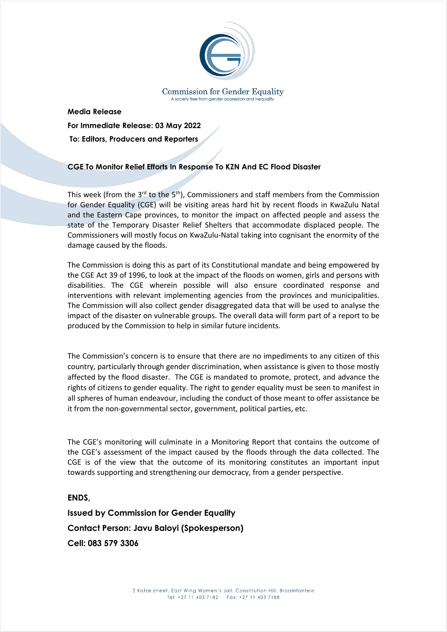

**Media Release For Immediate Release: 03 May 2022 To: Editors, Producers and Reporters** 

## **CGE To Monitor Relief Efforts In Response To KZN And EC Flood Disaster**

This week (from the 3<sup>rd</sup> to the 5<sup>th</sup>), Commissioners and staff members from the Commission for Gender Equality (CGE) will be visiting areas hard hit by recent floods in KwaZulu Natal and the Eastern Cape provinces, to monitor the impact on affected people and assess the state of the Temporary Disaster Relief Shelters that accommodate displaced people. The Commissioners will mostly focus on KwaZulu-Natal taking into cognisant the enormity of the damage caused by the floods.

The Commission is doing this as part of its Constitutional mandate and being empowered by the CGE Act 39 of 1996, to look at the impact of the floods on women, girls and persons with disabilities. The CGE wherein possible will also ensure coordinated response and interventions with relevant implementing agencies from the provinces and municipalities. The Commission will also collect gender disaggregated data that will be used to analyse the impact of the disaster on vulnerable groups. The overall data will form part of a report to be produced by the Commission to help in similar future incidents.

The Commission's concern is to ensure that there are no impediments to any citizen of this country, particularly through gender discrimination, when assistance is given to those mostly affected by the flood disaster. The CGE is mandated to promote, protect, and advance the rights of citizens to gender equality. The right to gender equality must be seen to manifest in all spheres of human endeavour, including the conduct of those meant to offer assistance be it from the non-governmental sector, government, political parties, etc.

The CGE's monitoring will culminate in a Monitoring Report that contains the outcome of the CGE's assessment of the impact caused by the floods through the data collected. The CGE is of the view that the outcome of its monitoring constitutes an important input towards supporting and strengthening our democracy, from a gender perspective.

**ENDS,**

**Issued by Commission for Gender Equality Contact Person: Javu Baloyi (Spokesperson) Cell: 083 579 3306**